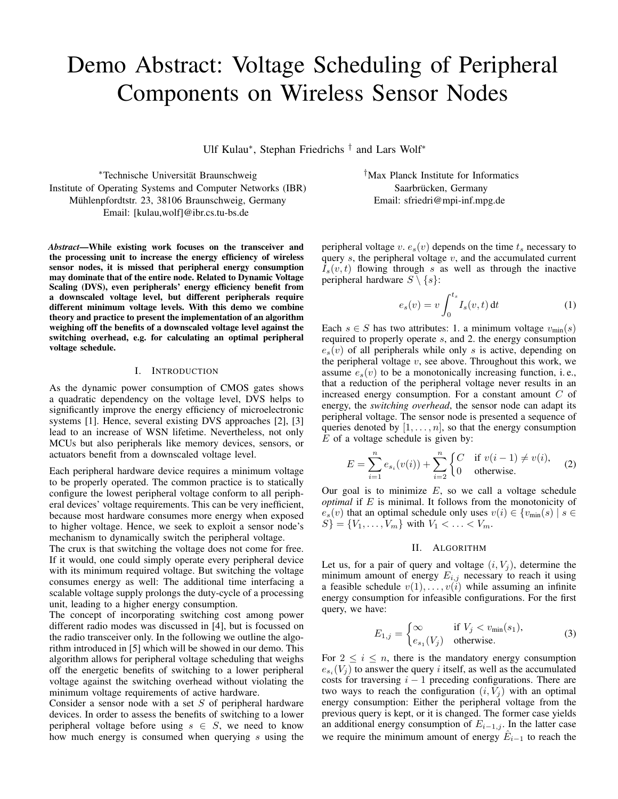# Demo Abstract: Voltage Scheduling of Peripheral Components on Wireless Sensor Nodes

Ulf Kulau<sup>∗</sup> , Stephan Friedrichs † and Lars Wolf<sup>∗</sup>

<sup>∗</sup>Technische Universitat Braunschweig ¨ Institute of Operating Systems and Computer Networks (IBR) Mühlenpfordtstr. 23, 38106 Braunschweig, Germany Email: [kulau,wolf]@ibr.cs.tu-bs.de

*Abstract*—While existing work focuses on the transceiver and the processing unit to increase the energy efficiency of wireless sensor nodes, it is missed that peripheral energy consumption may dominate that of the entire node. Related to Dynamic Voltage Scaling (DVS), even peripherals' energy efficiency benefit from a downscaled voltage level, but different peripherals require different minimum voltage levels. With this demo we combine theory and practice to present the implementation of an algorithm weighing off the benefits of a downscaled voltage level against the switching overhead, e.g. for calculating an optimal peripheral voltage schedule.

## I. INTRODUCTION

As the dynamic power consumption of CMOS gates shows a quadratic dependency on the voltage level, DVS helps to significantly improve the energy efficiency of microelectronic systems [1]. Hence, several existing DVS approaches [2], [3] lead to an increase of WSN lifetime. Nevertheless, not only MCUs but also peripherals like memory devices, sensors, or actuators benefit from a downscaled voltage level.

Each peripheral hardware device requires a minimum voltage to be properly operated. The common practice is to statically configure the lowest peripheral voltage conform to all peripheral devices' voltage requirements. This can be very inefficient, because most hardware consumes more energy when exposed to higher voltage. Hence, we seek to exploit a sensor node's mechanism to dynamically switch the peripheral voltage.

The crux is that switching the voltage does not come for free. If it would, one could simply operate every peripheral device with its minimum required voltage. But switching the voltage consumes energy as well: The additional time interfacing a scalable voltage supply prolongs the duty-cycle of a processing unit, leading to a higher energy consumption.

The concept of incorporating switching cost among power different radio modes was discussed in [4], but is focussed on the radio transceiver only. In the following we outline the algorithm introduced in [5] which will be showed in our demo. This algorithm allows for peripheral voltage scheduling that weighs off the energetic benefits of switching to a lower peripheral voltage against the switching overhead without violating the minimum voltage requirements of active hardware.

Consider a sensor node with a set  $S$  of peripheral hardware devices. In order to assess the benefits of switching to a lower peripheral voltage before using  $s \in S$ , we need to know how much energy is consumed when querying s using the †Max Planck Institute for Informatics Saarbrücken, Germany Email: sfriedri@mpi-inf.mpg.de

peripheral voltage v.  $e_s(v)$  depends on the time  $t_s$  necessary to query  $s$ , the peripheral voltage  $v$ , and the accumulated current  $I_s(v, t)$  flowing through s as well as through the inactive peripheral hardware  $S \setminus \{s\}$ :

$$
e_s(v) = v \int_0^{t_s} I_s(v, t) dt
$$
 (1)

Each  $s \in S$  has two attributes: 1. a minimum voltage  $v_{\text{min}}(s)$ required to properly operate s, and 2. the energy consumption  $e_s(v)$  of all peripherals while only s is active, depending on the peripheral voltage  $v$ , see above. Throughout this work, we assume  $e_s(v)$  to be a monotonically increasing function, i.e., that a reduction of the peripheral voltage never results in an increased energy consumption. For a constant amount C of energy, the *switching overhead*, the sensor node can adapt its peripheral voltage. The sensor node is presented a sequence of queries denoted by  $[1, \ldots, n]$ , so that the energy consumption  $E$  of a voltage schedule is given by:

$$
E = \sum_{i=1}^{n} e_{s_i}(v(i)) + \sum_{i=2}^{n} \begin{cases} C & \text{if } v(i-1) \neq v(i), \\ 0 & \text{otherwise.} \end{cases}
$$
 (2)

Our goal is to minimize  $E$ , so we call a voltage schedule *optimal* if E is minimal. It follows from the monotonicity of  $e_s(v)$  that an optimal schedule only uses  $v(i) \in \{v_{\text{min}}(s) \mid s \in$  $S$ } = { $V_1, \ldots, V_m$ } with  $V_1 < \ldots < V_m$ .

# II. ALGORITHM

Let us, for a pair of query and voltage  $(i, V<sub>j</sub>)$ , determine the minimum amount of energy  $E_{i,j}$  necessary to reach it using a feasible schedule  $v(1), \ldots, v(i)$  while assuming an infinite energy consumption for infeasible configurations. For the first query, we have:

$$
E_{1,j} = \begin{cases} \infty & \text{if } V_j < v_{\min}(s_1), \\ e_{s_1}(V_j) & \text{otherwise.} \end{cases}
$$
 (3)

For  $2 \leq i \leq n$ , there is the mandatory energy consumption  $e_{s_i}(V_j)$  to answer the query *i* itself, as well as the accumulated costs for traversing  $i - 1$  preceding configurations. There are two ways to reach the configuration  $(i, V<sub>i</sub>)$  with an optimal energy consumption: Either the peripheral voltage from the previous query is kept, or it is changed. The former case yields an additional energy consumption of  $E_{i-1,j}$ . In the latter case we require the minimum amount of energy  $\hat{E}_{i-1}$  to reach the